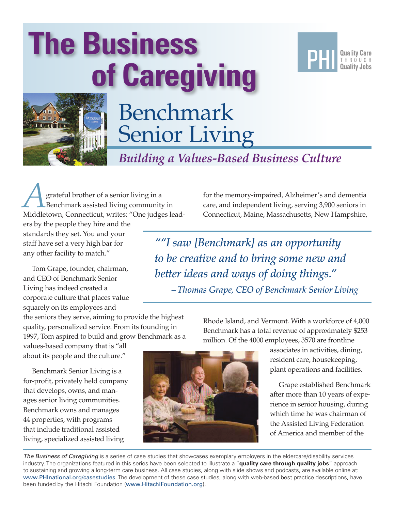# Benchmark Senior Living **The Business of Caregiving**



**Quality Care** THROUGH **Quality Jobs** 

*Building a Values-Based Business Culture*

grateful brother of a senior living in a Benchmark assisted living community in Middletown, Connecticut, writes: "One judges lead-

ers by the people they hire and the standards they set. You and your staff have set a very high bar for any other facility to match."

Tom Grape, founder, chairman, and CEO of Benchmark Senior Living has indeed created a corporate culture that places value squarely on its employees and

the seniors they serve, aiming to provide the highest quality, personalized service. From its founding in 1997, Tom aspired to build and grow Benchmark as a

values-based company that is "all about its people and the culture."

Benchmark Senior Living is a for-profit, privately held company that develops, owns, and manages senior living communities. Benchmark owns and manages 44 properties, with programs that include traditional assisted living, specialized assisted living

for the memory-impaired, Alzheimer's and dementia care, and independent living, serving 3,900 seniors in Connecticut, Maine, Massachusetts, New Hampshire,

*""I saw [Benchmark] as an opportunity to be creative and to bring some new and better ideas and ways of doing things." – Thomas Grape, CEO of Benchmark Senior Living*

> Rhode Island, and Vermont. With a workforce of 4,000 Benchmark has a total revenue of approximately \$253 million. Of the 4000 employees, 3570 are frontline

> > associates in activities, dining, resident care, housekeeping, plant operations and facilities.

Grape established Benchmark after more than 10 years of experience in senior housing, during which time he was chairman of the Assisted Living Federation of America and member of the

*The Business of Caregiving* is a series of case studies that showcases exemplary employers in the eldercare/disability services industry. The organizations featured in this series have been selected to illustrate a "**quality care through quality jobs**" approach to sustaining and growing a long-term care business. All case studies, along with slide shows and podcasts, are available online at: <www.PHInational.org/casestudies>. The development of these case studies, along with web-based best practice descriptions, have been funded by the Hitachi Foundation (<www.HitachiFoundation.org>).

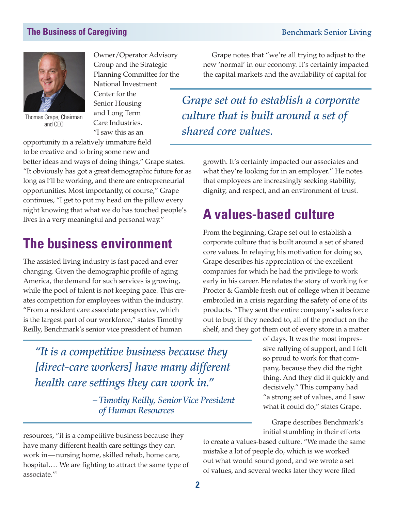

Thomas Grape, Chairman and CEO

Owner/Operator Advisory Group and the Strategic Planning Committee for the National Investment Center for the

Senior Housing and Long Term Care Industries. "I saw this as an

opportunity in a relatively immature field

to be creative and to bring some new and better ideas and ways of doing things," Grape states. "It obviously has got a great demographic future for as long as I'll be working, and there are entrepreneurial opportunities. Most importantly, of course," Grape continues, "I get to put my head on the pillow every night knowing that what we do has touched people's lives in a very meaningful and personal way."

## **The business environment**

The assisted living industry is fast paced and ever changing. Given the demographic profile of aging America, the demand for such services is growing, while the pool of talent is not keeping pace. This creates competition for employees within the industry. "From a resident care associate perspective, which is the largest part of our workforce," states Timothy Reilly, Benchmark's senior vice president of human

Grape notes that "we're all trying to adjust to the new 'normal' in our economy. It's certainly impacted the capital markets and the availability of capital for

*Grape set out to establish a corporate culture that is built around a set of shared core values.*

> growth. It's certainly impacted our associates and what they're looking for in an employer." He notes that employees are increasingly seeking stability, dignity, and respect, and an environment of trust.

# **A values-based culture**

From the beginning, Grape set out to establish a corporate culture that is built around a set of shared core values. In relaying his motivation for doing so, Grape describes his appreciation of the excellent companies for which he had the privilege to work early in his career. He relates the story of working for Procter & Gamble fresh out of college when it became embroiled in a crisis regarding the safety of one of its products. "They sent the entire company's sales force out to buy, if they needed to, all of the product on the shelf, and they got them out of every store in a matter

> of days. It was the most impressive rallying of support, and I felt so proud to work for that company, because they did the right thing. And they did it quickly and decisively." This company had "a strong set of values, and I saw what it could do," states Grape.

Grape describes Benchmark's initial stumbling in their efforts

to create a values-based culture. "We made the same mistake a lot of people do, which is we worked out what would sound good, and we wrote a set of values, and several weeks later they were filed

*"It is a competitive business because they [direct-care workers] have many different health care settings they can work in."*

> *– Timothy Reilly, Senior Vice President of Human Resources*

resources, "it is a competitive business because they have many different health care settings they can work in—nursing home, skilled rehab, home care, hospital…. We are fighting to attract the same type of associate."<sup>1</sup>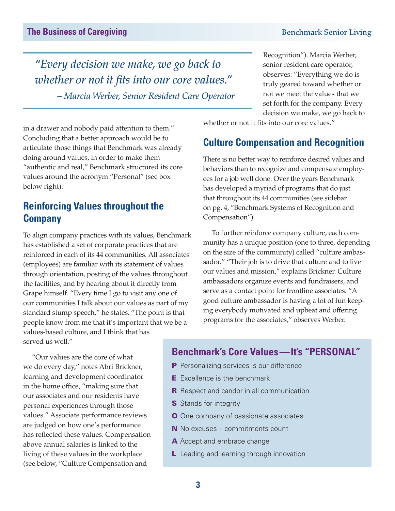*"Every decision we make, we go back to whether or not it fits into our core values." – Marcia Werber, Senior Resident Care Operator* Recognition"). Marcia Werber, senior resident care operator, observes: "Everything we do is truly geared toward whether or not we meet the values that we set forth for the company. Every decision we make, we go back to

in a drawer and nobody paid attention to them." Concluding that a better approach would be to articulate those things that Benchmark was already doing around values, in order to make them "authentic and real," Benchmark structured its core values around the acronym "Personal" (see box below right).

### **Reinforcing Values throughout the Company**

To align company practices with its values, Benchmark has established a set of corporate practices that are reinforced in each of its 44 communities. All associates (employees) are familiar with its statement of values through orientation, posting of the values throughout the facilities, and by hearing about it directly from Grape himself. "Every time I go to visit any one of our communities I talk about our values as part of my standard stump speech," he states. "The point is that people know from me that it's important that we be a values-based culture, and I think that has served us well."

whether or not it fits into our core values."

### **Culture Compensation and Recognition**

There is no better way to reinforce desired values and behaviors than to recognize and compensate employees for a job well done. Over the years Benchmark has developed a myriad of programs that do just that throughout its 44 communities (see sidebar on pg. 4, "Benchmark Systems of Recognition and Compensation").

To further reinforce company culture, each community has a unique position (one to three, depending on the size of the community) called "culture ambassador." "Their job is to drive that culture and to live our values and mission," explains Brickner. Culture ambassadors organize events and fundraisers, and serve as a contact point for frontline associates. "A good culture ambassador is having a lot of fun keeping everybody motivated and upbeat and offering programs for the associates," observes Werber.

"Our values are the core of what we do every day," notes Abri Brickner, learning and development coordinator in the home office, "making sure that our associates and our residents have personal experiences through those values." Associate performance reviews are judged on how one's performance has reflected these values. Compensation above annual salaries is linked to the living of these values in the workplace (see below, "Culture Compensation and

#### **Benchmark's Core Values—It's "PERSONAL"**

- **P** Personalizing services is our difference
- **E** Excellence is the benchmark
- **R** Respect and candor in all communication
- **S** Stands for integrity
- **O** One company of passionate associates
- N No excuses commitments count
- A Accept and embrace change
- L Leading and learning through innovation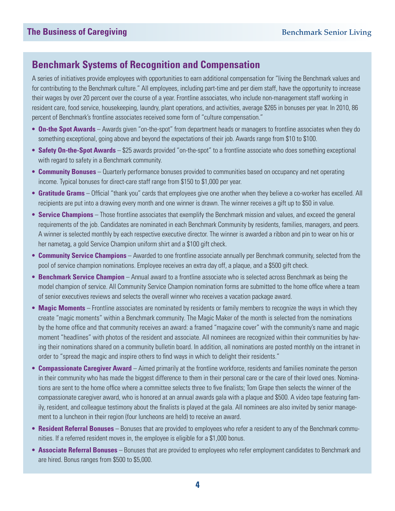### **Benchmark Systems of Recognition and Compensation**

A series of initiatives provide employees with opportunities to earn additional compensation for "living the Benchmark values and for contributing to the Benchmark culture." All employees, including part-time and per diem staff, have the opportunity to increase their wages by over 20 percent over the course of a year. Frontline associates, who include non-management staff working in resident care, food service, housekeeping, laundry, plant operations, and activities, average \$265 in bonuses per year. In 2010, 86 percent of Benchmark's frontline associates received some form of "culture compensation."

- **On-the Spot Awards** Awards given "on-the-spot" from department heads or managers to frontline associates when they do something exceptional, going above and beyond the expectations of their job. Awards range from \$10 to \$100.
- **Safety On-the-Spot Awards** \$25 awards provided "on-the-spot" to a frontline associate who does something exceptional with regard to safety in a Benchmark community.
- **Community Bonuses** Quarterly performance bonuses provided to communities based on occupancy and net operating income. Typical bonuses for direct-care staff range from \$150 to \$1,000 per year.
- **Gratitude Grams** Official "thank you" cards that employees give one another when they believe a co-worker has excelled. All recipients are put into a drawing every month and one winner is drawn. The winner receives a gift up to \$50 in value.
- **Service Champions** Those frontline associates that exemplify the Benchmark mission and values, and exceed the general requirements of the job. Candidates are nominated in each Benchmark Community by residents, families, managers, and peers. A winner is selected monthly by each respective executive director. The winner is awarded a ribbon and pin to wear on his or her nametag, a gold Service Champion uniform shirt and a \$100 gift check.
- **Community Service Champions** Awarded to one frontline associate annually per Benchmark community, selected from the pool of service champion nominations. Employee receives an extra day off, a plaque, and a \$500 gift check.
- **Benchmark Service Champion** Annual award to a frontline associate who is selected across Benchmark as being the model champion of service. All Community Service Champion nomination forms are submitted to the home office where a team of senior executives reviews and selects the overall winner who receives a vacation package award.
- **Magic Moments** Frontline associates are nominated by residents or family members to recognize the ways in which they create "magic moments" within a Benchmark community. The Magic Maker of the month is selected from the nominations by the home office and that community receives an award: a framed "magazine cover" with the community's name and magic moment "headlines" with photos of the resident and associate. All nominees are recognized within their communities by having their nominations shared on a community bulletin board. In addition, all nominations are posted monthly on the intranet in order to "spread the magic and inspire others to find ways in which to delight their residents."
- **Compassionate Caregiver Award** Aimed primarily at the frontline workforce, residents and families nominate the person in their community who has made the biggest difference to them in their personal care or the care of their loved ones. Nominations are sent to the home office where a committee selects three to five finalists; Tom Grape then selects the winner of the compassionate caregiver award, who is honored at an annual awards gala with a plaque and \$500. A video tape featuring family, resident, and colleague testimony about the finalists is played at the gala. All nominees are also invited by senior management to a luncheon in their region (four luncheons are held) to receive an award.
- **Resident Referral Bonuses** Bonuses that are provided to employees who refer a resident to any of the Benchmark communities. If a referred resident moves in, the employee is eligible for a \$1,000 bonus.
- **Associate Referral Bonuses** Bonuses that are provided to employees who refer employment candidates to Benchmark and are hired. Bonus ranges from \$500 to \$5,000.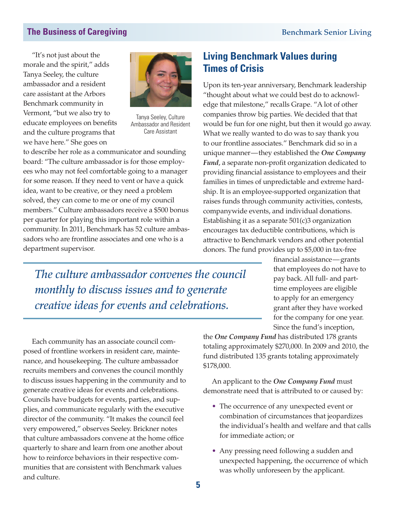"It's not just about the morale and the spirit," adds Tanya Seeley, the culture ambassador and a resident care assistant at the Arbors Benchmark community in Vermont, "but we also try to educate employees on benefits and the culture programs that we have here." She goes on



Tanya Seeley, Culture Ambassador and Resident Care Assistant

to describe her role as a communicator and sounding board: "The culture ambassador is for those employees who may not feel comfortable going to a manager for some reason. If they need to vent or have a quick idea, want to be creative, or they need a problem solved, they can come to me or one of my council members." Culture ambassadors receive a \$500 bonus per quarter for playing this important role within a community. In 2011, Benchmark has 52 culture ambassadors who are frontline associates and one who is a department supervisor.

### **Living Benchmark Values during Times of Crisis**

Upon its ten-year anniversary, Benchmark leadership "thought about what we could best do to acknowledge that milestone," recalls Grape. "A lot of other companies throw big parties. We decided that that would be fun for one night, but then it would go away. What we really wanted to do was to say thank you to our frontline associates." Benchmark did so in a unique manner—they established the *One Company Fund*, a separate non-profit organization dedicated to providing financial assistance to employees and their families in times of unpredictable and extreme hardship. It is an employee-supported organization that raises funds through community activities, contests, companywide events, and individual donations. Establishing it as a separate 501(c)3 organization encourages tax deductible contributions, which is attractive to Benchmark vendors and other potential donors. The fund provides up to \$5,000 in tax-free

*The culture ambassador convenes the council monthly to discuss issues and to generate creative ideas for events and celebrations.* 

financial assistance—grants that employees do not have to pay back. All full- and parttime employees are eligible to apply for an emergency grant after they have worked for the company for one year. Since the fund's inception,

Each community has an associate council composed of frontline workers in resident care, maintenance, and housekeeping. The culture ambassador recruits members and convenes the council monthly to discuss issues happening in the community and to generate creative ideas for events and celebrations. Councils have budgets for events, parties, and supplies, and communicate regularly with the executive director of the community. "It makes the council feel very empowered," observes Seeley. Brickner notes that culture ambassadors convene at the home office quarterly to share and learn from one another about how to reinforce behaviors in their respective communities that are consistent with Benchmark values and culture.

the *One Company Fund* has distributed 178 grants totaling approximately \$270,000. In 2009 and 2010, the fund distributed 135 grants totaling approximately \$178,000.

An applicant to the *One Company Fund* must demonstrate need that is attributed to or caused by:

- The occurrence of any unexpected event or combination of circumstances that jeopardizes the individual's health and welfare and that calls for immediate action; or
- Any pressing need following a sudden and unexpected happening, the occurrence of which was wholly unforeseen by the applicant.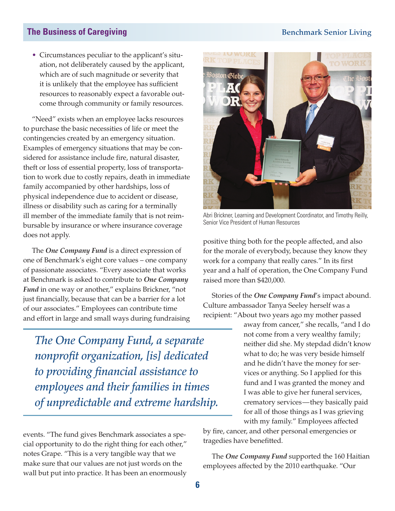• Circumstances peculiar to the applicant's situation, not deliberately caused by the applicant, which are of such magnitude or severity that it is unlikely that the employee has sufficient resources to reasonably expect a favorable outcome through community or family resources.

"Need" exists when an employee lacks resources to purchase the basic necessities of life or meet the contingencies created by an emergency situation. Examples of emergency situations that may be considered for assistance include fire, natural disaster, theft or loss of essential property, loss of transportation to work due to costly repairs, death in immediate family accompanied by other hardships, loss of physical independence due to accident or disease, illness or disability such as caring for a terminally ill member of the immediate family that is not reimbursable by insurance or where insurance coverage does not apply.

The *One Company Fund* is a direct expression of one of Benchmark's eight core values – one company of passionate associates. "Every associate that works at Benchmark is asked to contribute to *One Company Fund* in one way or another," explains Brickner, "not just financially, because that can be a barrier for a lot of our associates." Employees can contribute time and effort in large and small ways during fundraising

*The One Company Fund, a separate nonprofit organization, [is] dedicated to providing financial assistance to employees and their families in times of unpredictable and extreme hardship.*

events. "The fund gives Benchmark associates a special opportunity to do the right thing for each other," notes Grape. "This is a very tangible way that we make sure that our values are not just words on the wall but put into practice. It has been an enormously



Abri Brickner, Learning and Development Coordinator, and Timothy Reilly, Senior Vice President of Human Resources

positive thing both for the people affected, and also for the morale of everybody, because they know they work for a company that really cares." In its first year and a half of operation, the One Company Fund raised more than \$420,000.

Stories of the *One Company Fund*'s impact abound. Culture ambassador Tanya Seeley herself was a recipient: "About two years ago my mother passed

> away from cancer," she recalls, "and I do not come from a very wealthy family; neither did she. My stepdad didn't know what to do; he was very beside himself and he didn't have the money for services or anything. So I applied for this fund and I was granted the money and I was able to give her funeral services, crematory services—they basically paid for all of those things as I was grieving with my family." Employees affected

by fire, cancer, and other personal emergencies or tragedies have benefitted.

The *One Company Fund* supported the 160 Haitian employees affected by the 2010 earthquake. "Our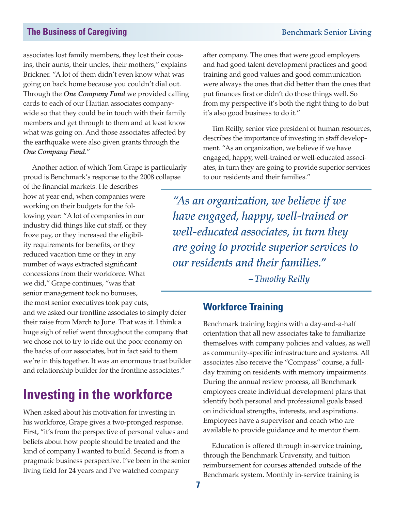associates lost family members, they lost their cousins, their aunts, their uncles, their mothers," explains Brickner. "A lot of them didn't even know what was going on back home because you couldn't dial out. Through the *One Company Fund* we provided calling cards to each of our Haitian associates companywide so that they could be in touch with their family members and get through to them and at least know what was going on. And those associates affected by the earthquake were also given grants through the *One Company Fund*."

Another action of which Tom Grape is particularly proud is Benchmark's response to the 2008 collapse

of the financial markets. He describes how at year end, when companies were working on their budgets for the following year: "A lot of companies in our industry did things like cut staff, or they froze pay, or they increased the eligibility requirements for benefits, or they reduced vacation time or they in any number of ways extracted significant concessions from their workforce. What we did," Grape continues, "was that senior management took no bonuses, the most senior executives took pay cuts,

and we asked our frontline associates to simply defer their raise from March to June. That was it. I think a huge sigh of relief went throughout the company that we chose not to try to ride out the poor economy on the backs of our associates, but in fact said to them we're in this together. It was an enormous trust builder and relationship builder for the frontline associates."

# **Investing in the workforce**

When asked about his motivation for investing in his workforce, Grape gives a two-pronged response. First, "it's from the perspective of personal values and beliefs about how people should be treated and the kind of company I wanted to build. Second is from a pragmatic business perspective. I've been in the senior living field for 24 years and I've watched company

after company. The ones that were good employers and had good talent development practices and good training and good values and good communication were always the ones that did better than the ones that put finances first or didn't do those things well. So from my perspective it's both the right thing to do but it's also good business to do it."

Tim Reilly, senior vice president of human resources, describes the importance of investing in staff development. "As an organization, we believe if we have engaged, happy, well-trained or well-educated associates, in turn they are going to provide superior services to our residents and their families."

*"As an organization, we believe if we have engaged, happy, well-trained or well-educated associates, in turn they are going to provide superior services to our residents and their families."* 

*– Timothy Reilly*

#### **Workforce Training**

Benchmark training begins with a day-and-a-half orientation that all new associates take to familiarize themselves with company policies and values, as well as community-specific infrastructure and systems. All associates also receive the "Compass" course, a fullday training on residents with memory impairments. During the annual review process, all Benchmark employees create individual development plans that identify both personal and professional goals based on individual strengths, interests, and aspirations. Employees have a supervisor and coach who are available to provide guidance and to mentor them.

Education is offered through in-service training, through the Benchmark University, and tuition reimbursement for courses attended outside of the Benchmark system. Monthly in-service training is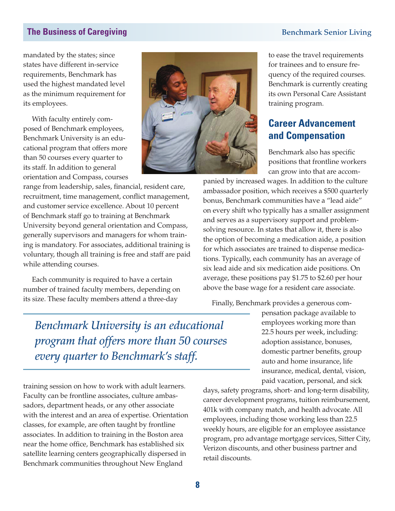mandated by the states; since states have different in-service requirements, Benchmark has used the highest mandated level as the minimum requirement for its employees.

With faculty entirely composed of Benchmark employees, Benchmark University is an educational program that offers more than 50 courses every quarter to its staff. In addition to general orientation and Compass, courses

range from leadership, sales, financial, resident care, recruitment, time management, conflict management, and customer service excellence. About 10 percent of Benchmark staff go to training at Benchmark University beyond general orientation and Compass, generally supervisors and managers for whom training is mandatory. For associates, additional training is voluntary, though all training is free and staff are paid while attending courses.

Each community is required to have a certain number of trained faculty members, depending on its size. These faculty members attend a three-day



to ease the travel requirements for trainees and to ensure frequency of the required courses. Benchmark is currently creating its own Personal Care Assistant training program.

#### **Career Advancement and Compensation**

Benchmark also has specific positions that frontline workers can grow into that are accom-

panied by increased wages. In addition to the culture ambassador position, which receives a \$500 quarterly bonus, Benchmark communities have a "lead aide" on every shift who typically has a smaller assignment and serves as a supervisory support and problemsolving resource. In states that allow it, there is also the option of becoming a medication aide, a position for which associates are trained to dispense medications. Typically, each community has an average of six lead aide and six medication aide positions. On average, these positions pay \$1.75 to \$2.60 per hour above the base wage for a resident care associate.

Finally, Benchmark provides a generous com-

*Benchmark University is an educational program that offers more than 50 courses every quarter to Benchmark's staff.*

pensation package available to employees working more than 22.5 hours per week, including: adoption assistance, bonuses, domestic partner benefits, group auto and home insurance, life insurance, medical, dental, vision, paid vacation, personal, and sick

training session on how to work with adult learners. Faculty can be frontline associates, culture ambassadors, department heads, or any other associate with the interest and an area of expertise. Orientation classes, for example, are often taught by frontline associates. In addition to training in the Boston area near the home office, Benchmark has established six satellite learning centers geographically dispersed in Benchmark communities throughout New England

days, safety programs, short- and long-term disability, career development programs, tuition reimbursement, 401k with company match, and health advocate. All employees, including those working less than 22.5 weekly hours, are eligible for an employee assistance program, pro advantage mortgage services, Sitter City, Verizon discounts, and other business partner and retail discounts.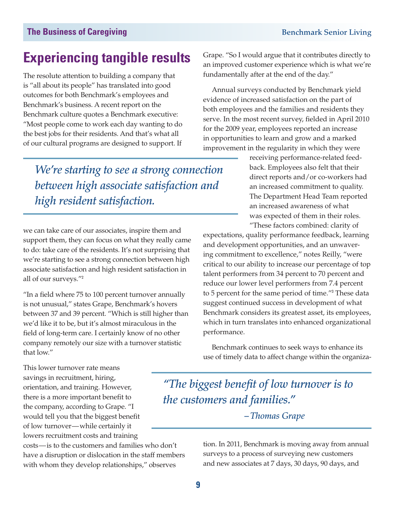# **Experiencing tangible results**

The resolute attention to building a company that is "all about its people" has translated into good outcomes for both Benchmark's employees and Benchmark's business. A recent report on the Benchmark culture quotes a Benchmark executive: "Most people come to work each day wanting to do the best jobs for their residents. And that's what all of our cultural programs are designed to support. If

*We're starting to see a strong connection between high associate satisfaction and high resident satisfaction.* 

we can take care of our associates, inspire them and support them, they can focus on what they really came to do: take care of the residents. It's not surprising that we're starting to see a strong connection between high associate satisfaction and high resident satisfaction in all of our surveys."<sup>2</sup>

"In a field where 75 to 100 percent turnover annually is not unusual," states Grape, Benchmark's hovers between 37 and 39 percent. "Which is still higher than we'd like it to be, but it's almost miraculous in the field of long-term care. I certainly know of no other company remotely our size with a turnover statistic that low."

Grape. "So I would argue that it contributes directly to an improved customer experience which is what we're fundamentally after at the end of the day."

Annual surveys conducted by Benchmark yield evidence of increased satisfaction on the part of both employees and the families and residents they serve. In the most recent survey, fielded in April 2010 for the 2009 year, employees reported an increase in opportunities to learn and grow and a marked improvement in the regularity in which they were

> receiving performance-related feedback. Employees also felt that their direct reports and/or co-workers had an increased commitment to quality. The Department Head Team reported an increased awareness of what was expected of them in their roles. "These factors combined: clarity of

expectations, quality performance feedback, learning and development opportunities, and an unwavering commitment to excellence," notes Reilly, "were critical to our ability to increase our percentage of top talent performers from 34 percent to 70 percent and reduce our lower level performers from 7.4 percent to 5 percent for the same period of time."<sup>3</sup> These data suggest continued success in development of what Benchmark considers its greatest asset, its employees, which in turn translates into enhanced organizational performance.

Benchmark continues to seek ways to enhance its use of timely data to affect change within the organiza-

This lower turnover rate means savings in recruitment, hiring, orientation, and training. However, there is a more important benefit to the company, according to Grape. "I would tell you that the biggest benefit of low turnover—while certainly it lowers recruitment costs and training

costs—is to the customers and families who don't have a disruption or dislocation in the staff members with whom they develop relationships," observes

*"The biggest benefit of low turnover is to the customers and families."* 

*– Thomas Grape*

tion. In 2011, Benchmark is moving away from annual surveys to a process of surveying new customers and new associates at 7 days, 30 days, 90 days, and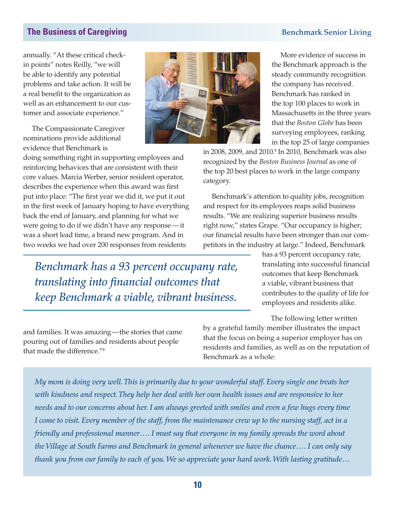annually. "At these critical checkin points" notes Reilly, "we will be able to identify any potential problems and take action. It will be a real benefit to the organization as well as an enhancement to our customer and associate experience."

The Compassionate Caregiver nominations provide additional evidence that Benchmark is

doing something right in supporting employees and reinforcing behaviors that are consistent with their core values. Marcia Werber, senior resident operator, describes the experience when this award was first put into place: "The first year we did it, we put it out in the first week of January hoping to have everything back the end of January, and planning for what we were going to do if we didn't have any response —it was a short lead time, a brand new program. And in two weeks we had over 200 responses from residents

*Benchmark has a 93 percent occupany rate, translating into financial outcomes that keep Benchmark a viable, vibrant business.* 

More evidence of success in the Benchmark approach is the steady community recognition the company has received. Benchmark has ranked in the top 100 places to work in Massachusetts in the three years that the *Boston Globe* has been surveying employees, ranking in the top 25 of large companies

in 2008, 2009, and 2010.<sup>5</sup> In 2010, Benchmark was also recognized by the *Boston Business Journal* as one of the top 20 best places to work in the large company category.

Benchmark's attention to quality jobs, recognition and respect for its employees reaps solid business results. "We are realizing superior business results right now," states Grape. "Our occupancy is higher; our financial results have been stronger than our competitors in the industry at large." Indeed, Benchmark

> has a 93 percent occupancy rate, translating into successful financial outcomes that keep Benchmark a viable, vibrant business that contributes to the quality of life for employees and residents alike.

The following letter written

by a grateful family member illustrates the impact that the focus on being a superior employer has on residents and families, as well as on the reputation of Benchmark as a whole:

*My mom is doing very well. This is primarily due to your wonderful staff. Every single one treats her with kindness and respect. They help her deal with her own health issues and are responsive to her needs and to our concerns about her. I am always greeted with smiles and even a few hugs every time I come to visit. Every member of the staff, from the maintenance crew up to the nursing staff, act in a friendly and professional manner…. I must say that everyone in my family spreads the word about the Village at South Farms and Benchmark in general whenever we have the chance…. I can only say thank you from our family to each of you. We so appreciate your hard work. With lasting gratitude…*

and families. It was amazing—the stories that came pouring out of families and residents about people

that made the difference."<sup>4</sup>